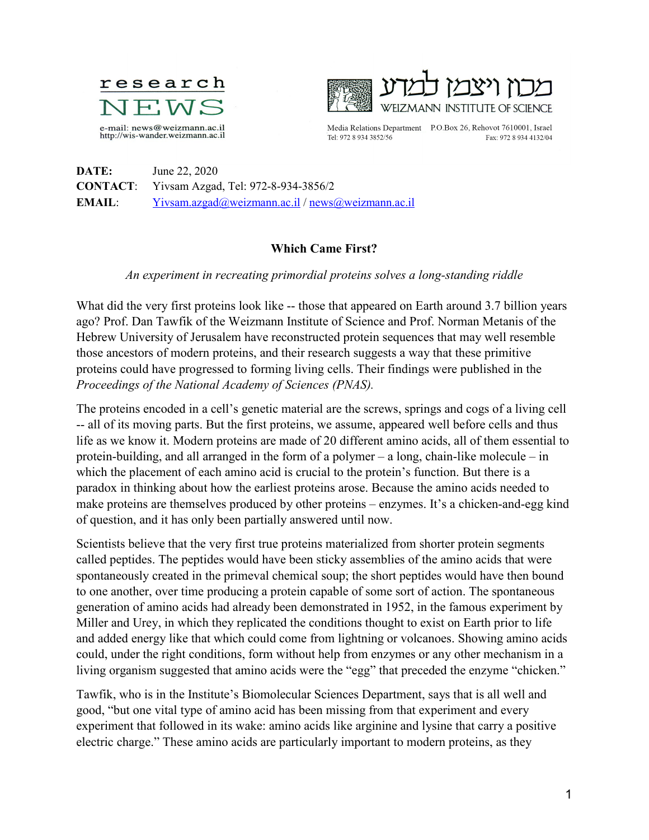



Tel: 972 8 934 3852/56

Media Relations Department P.O.Box 26, Rehovot 7610001, Israel Fax: 972 8 934 4132/04

**DATE:** June 22, 2020 **CONTACT**: Yivsam Azgad, Tel: 972-8-934-3856/2 **EMAIL**: [Yivsam.azgad@weizmann.ac.il](mailto:Yivsam.azgad@weizmann.ac.il) / [news@weizmann.ac.il](mailto:news@weizmann.ac.il)

## **Which Came First?**

## *An experiment in recreating primordial proteins solves a long-standing riddle*

What did the very first proteins look like -- those that appeared on Earth around 3.7 billion years ago? Prof. Dan Tawfik of the Weizmann Institute of Science and Prof. Norman Metanis of the Hebrew University of Jerusalem have reconstructed protein sequences that may well resemble those ancestors of modern proteins, and their research suggests a way that these primitive proteins could have progressed to forming living cells. Their findings were published in the *Proceedings of the National Academy of Sciences (PNAS).*

The proteins encoded in a cell's genetic material are the screws, springs and cogs of a living cell -- all of its moving parts. But the first proteins, we assume, appeared well before cells and thus life as we know it. Modern proteins are made of 20 different amino acids, all of them essential to protein-building, and all arranged in the form of a polymer  $-$  a long, chain-like molecule  $-$  in which the placement of each amino acid is crucial to the protein's function. But there is a paradox in thinking about how the earliest proteins arose. Because the amino acids needed to make proteins are themselves produced by other proteins – enzymes. It's a chicken-and-egg kind of question, and it has only been partially answered until now.

Scientists believe that the very first true proteins materialized from shorter protein segments called peptides. The peptides would have been sticky assemblies of the amino acids that were spontaneously created in the primeval chemical soup; the short peptides would have then bound to one another, over time producing a protein capable of some sort of action. The spontaneous generation of amino acids had already been demonstrated in 1952, in the famous experiment by Miller and Urey, in which they replicated the conditions thought to exist on Earth prior to life and added energy like that which could come from lightning or volcanoes. Showing amino acids could, under the right conditions, form without help from enzymes or any other mechanism in a living organism suggested that amino acids were the "egg" that preceded the enzyme "chicken."

Tawfik, who is in the Institute's Biomolecular Sciences Department, says that is all well and good, "but one vital type of amino acid has been missing from that experiment and every experiment that followed in its wake: amino acids like arginine and lysine that carry a positive electric charge." These amino acids are particularly important to modern proteins, as they